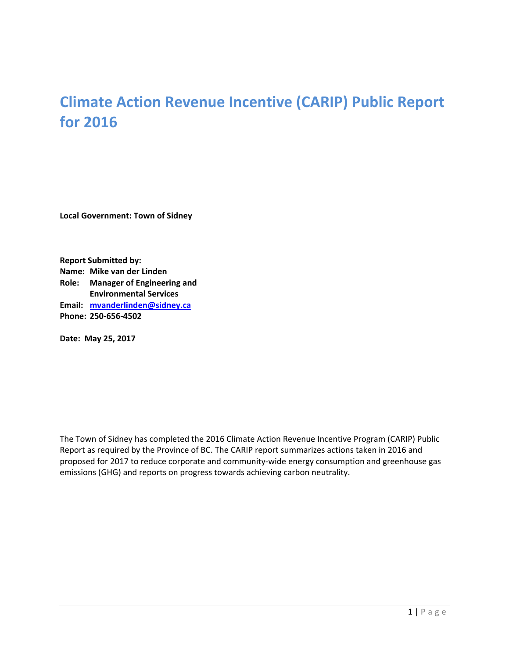# **Climate Action Revenue Incentive (CARIP) Public Report for 2016**

**Local Government: Town of Sidney**

**Report Submitted by: Name: Mike van der Linden Role: Manager of Engineering and Environmental Services Email: mvanderlinden@sidney.ca Phone: 250‐656‐4502**

**Date: May 25, 2017**

The Town of Sidney has completed the 2016 Climate Action Revenue Incentive Program (CARIP) Public Report as required by the Province of BC. The CARIP report summarizes actions taken in 2016 and proposed for 2017 to reduce corporate and community-wide energy consumption and greenhouse gas emissions (GHG) and reports on progress towards achieving carbon neutrality.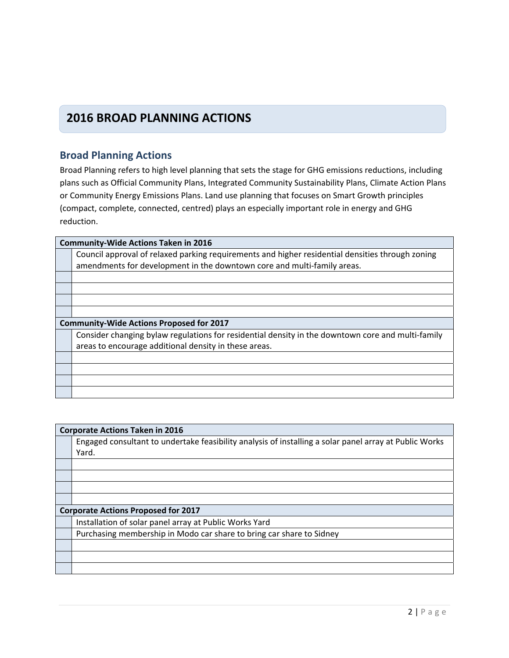### **2016 BROAD PLANNING ACTIONS**

#### **Broad Planning Actions**

Broad Planning refers to high level planning that sets the stage for GHG emissions reductions, including plans such as Official Community Plans, Integrated Community Sustainability Plans, Climate Action Plans or Community Energy Emissions Plans. Land use planning that focuses on Smart Growth principles (compact, complete, connected, centred) plays an especially important role in energy and GHG reduction.

| <b>Community-Wide Actions Taken in 2016</b>                                                       |  |  |
|---------------------------------------------------------------------------------------------------|--|--|
| Council approval of relaxed parking requirements and higher residential densities through zoning  |  |  |
| amendments for development in the downtown core and multi-family areas.                           |  |  |
|                                                                                                   |  |  |
|                                                                                                   |  |  |
|                                                                                                   |  |  |
|                                                                                                   |  |  |
| <b>Community-Wide Actions Proposed for 2017</b>                                                   |  |  |
| Consider changing bylaw regulations for residential density in the downtown core and multi-family |  |  |
| areas to encourage additional density in these areas.                                             |  |  |
|                                                                                                   |  |  |
|                                                                                                   |  |  |
|                                                                                                   |  |  |
|                                                                                                   |  |  |

| <b>Corporate Actions Taken in 2016</b>                                                                 |  |  |
|--------------------------------------------------------------------------------------------------------|--|--|
| Engaged consultant to undertake feasibility analysis of installing a solar panel array at Public Works |  |  |
| Yard.                                                                                                  |  |  |
|                                                                                                        |  |  |
|                                                                                                        |  |  |
|                                                                                                        |  |  |
|                                                                                                        |  |  |
| <b>Corporate Actions Proposed for 2017</b>                                                             |  |  |
| Installation of solar panel array at Public Works Yard                                                 |  |  |
| Purchasing membership in Modo car share to bring car share to Sidney                                   |  |  |
|                                                                                                        |  |  |
|                                                                                                        |  |  |
|                                                                                                        |  |  |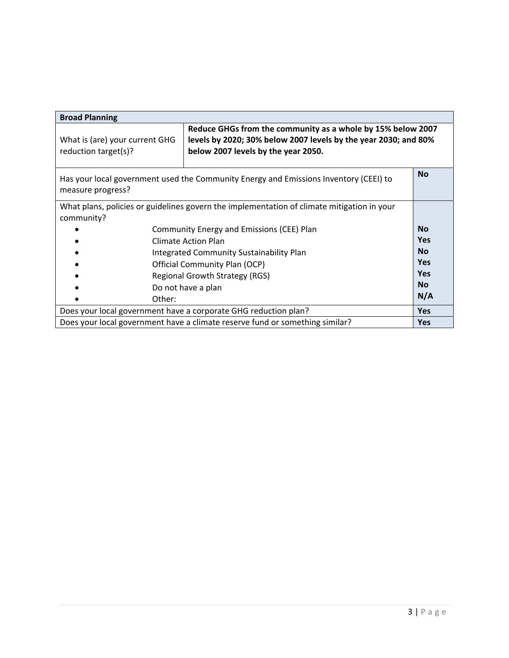| <b>Broad Planning</b>                                                                                                   |                                                                                                                                                                       |            |
|-------------------------------------------------------------------------------------------------------------------------|-----------------------------------------------------------------------------------------------------------------------------------------------------------------------|------------|
| What is (are) your current GHG<br>reduction target(s)?                                                                  | Reduce GHGs from the community as a whole by 15% below 2007<br>levels by 2020; 30% below 2007 levels by the year 2030; and 80%<br>below 2007 levels by the year 2050. |            |
| <b>No</b><br>Has your local government used the Community Energy and Emissions Inventory (CEEI) to<br>measure progress? |                                                                                                                                                                       |            |
| community?                                                                                                              | What plans, policies or guidelines govern the implementation of climate mitigation in your                                                                            |            |
|                                                                                                                         | Community Energy and Emissions (CEE) Plan                                                                                                                             | <b>No</b>  |
|                                                                                                                         | Climate Action Plan                                                                                                                                                   | <b>Yes</b> |
|                                                                                                                         | <b>Integrated Community Sustainability Plan</b>                                                                                                                       | <b>No</b>  |
|                                                                                                                         | Official Community Plan (OCP)                                                                                                                                         | <b>Yes</b> |
|                                                                                                                         | Regional Growth Strategy (RGS)                                                                                                                                        | <b>Yes</b> |
|                                                                                                                         | Do not have a plan                                                                                                                                                    | <b>No</b>  |
| Other:                                                                                                                  |                                                                                                                                                                       | N/A        |
| Does your local government have a corporate GHG reduction plan?                                                         |                                                                                                                                                                       | <b>Yes</b> |
| Does your local government have a climate reserve fund or something similar?                                            |                                                                                                                                                                       | <b>Yes</b> |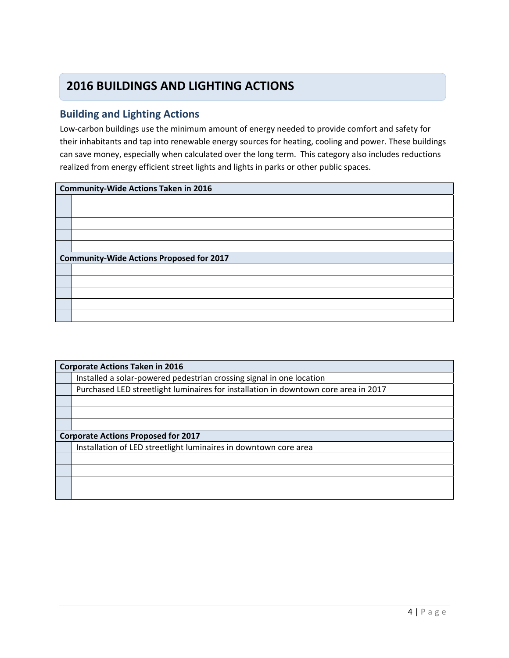## **2016 BUILDINGS AND LIGHTING ACTIONS**

#### **Building and Lighting Actions**

Low‐carbon buildings use the minimum amount of energy needed to provide comfort and safety for their inhabitants and tap into renewable energy sources for heating, cooling and power. These buildings can save money, especially when calculated over the long term. This category also includes reductions realized from energy efficient street lights and lights in parks or other public spaces.

| <b>Community-Wide Actions Taken in 2016</b>     |  |
|-------------------------------------------------|--|
|                                                 |  |
|                                                 |  |
|                                                 |  |
|                                                 |  |
|                                                 |  |
| <b>Community-Wide Actions Proposed for 2017</b> |  |
|                                                 |  |
|                                                 |  |
|                                                 |  |
|                                                 |  |
|                                                 |  |

| <b>Corporate Actions Taken in 2016</b>                                              |  |
|-------------------------------------------------------------------------------------|--|
| Installed a solar-powered pedestrian crossing signal in one location                |  |
| Purchased LED streetlight luminaires for installation in downtown core area in 2017 |  |
|                                                                                     |  |
|                                                                                     |  |
|                                                                                     |  |
| <b>Corporate Actions Proposed for 2017</b>                                          |  |
| Installation of LED streetlight luminaires in downtown core area                    |  |
|                                                                                     |  |
|                                                                                     |  |
|                                                                                     |  |
|                                                                                     |  |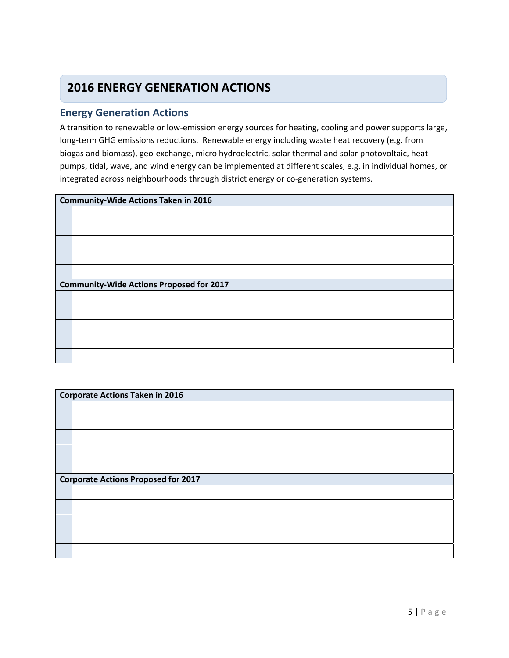## **2016 ENERGY GENERATION ACTIONS**

#### **Energy Generation Actions**

A transition to renewable or low‐emission energy sources for heating, cooling and power supports large, long-term GHG emissions reductions. Renewable energy including waste heat recovery (e.g. from biogas and biomass), geo‐exchange, micro hydroelectric, solar thermal and solar photovoltaic, heat pumps, tidal, wave, and wind energy can be implemented at different scales, e.g. in individual homes, or integrated across neighbourhoods through district energy or co-generation systems.

| <b>Community-Wide Actions Taken in 2016</b>     |  |
|-------------------------------------------------|--|
|                                                 |  |
|                                                 |  |
|                                                 |  |
|                                                 |  |
|                                                 |  |
| <b>Community-Wide Actions Proposed for 2017</b> |  |
|                                                 |  |
|                                                 |  |
|                                                 |  |
|                                                 |  |
|                                                 |  |

| <b>Corporate Actions Taken in 2016</b>     |  |
|--------------------------------------------|--|
|                                            |  |
|                                            |  |
|                                            |  |
|                                            |  |
|                                            |  |
| <b>Corporate Actions Proposed for 2017</b> |  |
|                                            |  |
|                                            |  |
|                                            |  |
|                                            |  |
|                                            |  |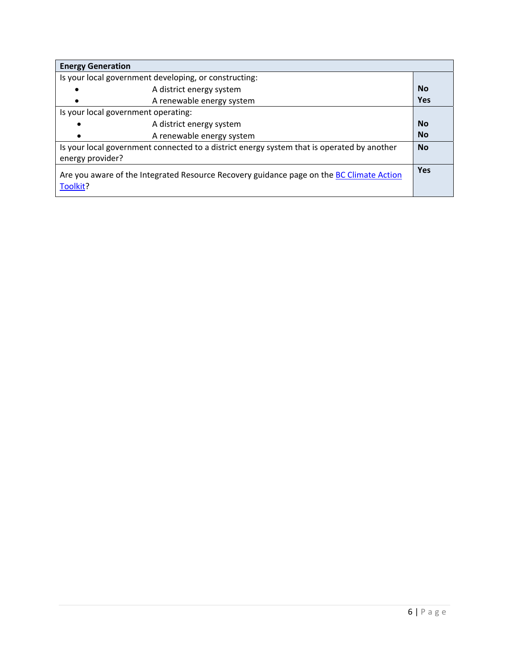| <b>Energy Generation</b>                                                                                       |            |
|----------------------------------------------------------------------------------------------------------------|------------|
| Is your local government developing, or constructing:                                                          |            |
| A district energy system                                                                                       | <b>No</b>  |
| A renewable energy system                                                                                      | <b>Yes</b> |
| Is your local government operating:                                                                            |            |
| A district energy system<br>$\bullet$                                                                          | <b>No</b>  |
| A renewable energy system<br>$\bullet$                                                                         | <b>No</b>  |
| Is your local government connected to a district energy system that is operated by another<br>energy provider? |            |
| Are you aware of the Integrated Resource Recovery guidance page on the BC Climate Action<br>Toolkit?           | <b>Yes</b> |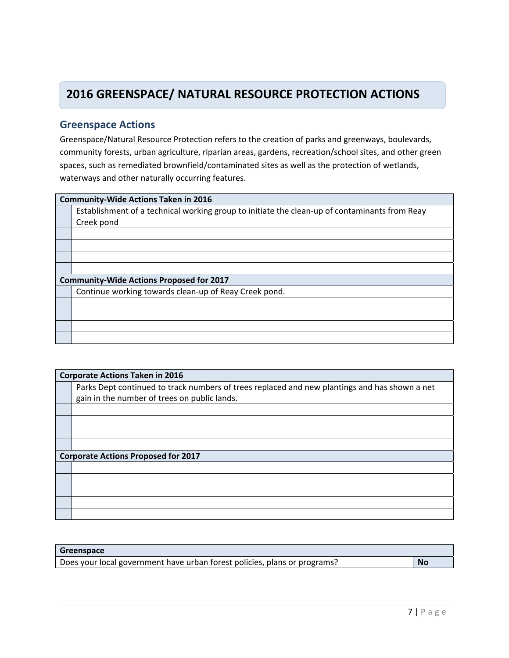## **2016 GREENSPACE/ NATURAL RESOURCE PROTECTION ACTIONS**

#### **Greenspace Actions**

Greenspace/Natural Resource Protection refers to the creation of parks and greenways, boulevards, community forests, urban agriculture, riparian areas, gardens, recreation/school sites, and other green spaces, such as remediated brownfield/contaminated sites as well as the protection of wetlands, waterways and other naturally occurring features.

| <b>Community-Wide Actions Taken in 2016</b>                                                   |  |  |
|-----------------------------------------------------------------------------------------------|--|--|
| Establishment of a technical working group to initiate the clean-up of contaminants from Reay |  |  |
| Creek pond                                                                                    |  |  |
|                                                                                               |  |  |
|                                                                                               |  |  |
|                                                                                               |  |  |
|                                                                                               |  |  |
| <b>Community-Wide Actions Proposed for 2017</b>                                               |  |  |
| Continue working towards clean-up of Reay Creek pond.                                         |  |  |
|                                                                                               |  |  |
|                                                                                               |  |  |
|                                                                                               |  |  |
|                                                                                               |  |  |

| <b>Corporate Actions Taken in 2016</b>                                                        |  |
|-----------------------------------------------------------------------------------------------|--|
| Parks Dept continued to track numbers of trees replaced and new plantings and has shown a net |  |
| gain in the number of trees on public lands.                                                  |  |
|                                                                                               |  |
|                                                                                               |  |
|                                                                                               |  |
|                                                                                               |  |
| <b>Corporate Actions Proposed for 2017</b>                                                    |  |
|                                                                                               |  |
|                                                                                               |  |
|                                                                                               |  |
|                                                                                               |  |
|                                                                                               |  |

#### **Greenspace**

| Does your local government have urban forest policies, plans or programs? | <b>No</b> |
|---------------------------------------------------------------------------|-----------|
|                                                                           |           |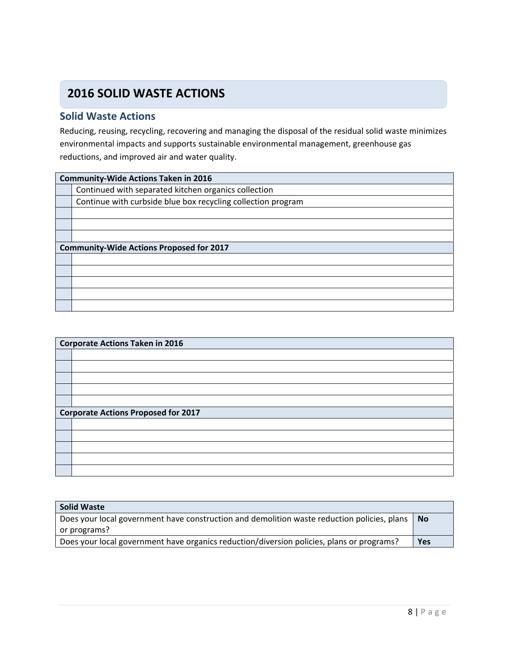## **2016 SOLID WASTE ACTIONS**

#### **Solid Waste Actions**

Reducing, reusing, recycling, recovering and managing the disposal of the residual solid waste minimizes environmental impacts and supports sustainable environmental management, greenhouse gas reductions, and improved air and water quality.

| <b>Community-Wide Actions Taken in 2016</b>                  |  |
|--------------------------------------------------------------|--|
| Continued with separated kitchen organics collection         |  |
| Continue with curbside blue box recycling collection program |  |
|                                                              |  |
|                                                              |  |
|                                                              |  |
| <b>Community-Wide Actions Proposed for 2017</b>              |  |
|                                                              |  |
|                                                              |  |
|                                                              |  |
|                                                              |  |
|                                                              |  |

| <b>Corporate Actions Taken in 2016</b>     |  |  |
|--------------------------------------------|--|--|
|                                            |  |  |
|                                            |  |  |
|                                            |  |  |
|                                            |  |  |
|                                            |  |  |
| <b>Corporate Actions Proposed for 2017</b> |  |  |
|                                            |  |  |
|                                            |  |  |
|                                            |  |  |
|                                            |  |  |
|                                            |  |  |

| <b>Solid Waste</b>                                                                          |            |
|---------------------------------------------------------------------------------------------|------------|
| Does your local government have construction and demolition waste reduction policies, plans | l No       |
| or programs?                                                                                |            |
| Does your local government have organics reduction/diversion policies, plans or programs?   | <b>Yes</b> |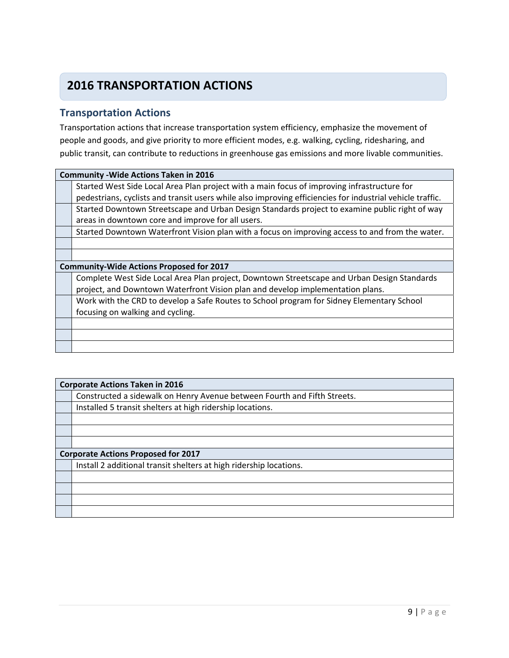## **2016 TRANSPORTATION ACTIONS**

#### **Transportation Actions**

Transportation actions that increase transportation system efficiency, emphasize the movement of people and goods, and give priority to more efficient modes, e.g. walking, cycling, ridesharing, and public transit, can contribute to reductions in greenhouse gas emissions and more livable communities.

| <b>Community - Wide Actions Taken in 2016</b>                                                             |  |  |
|-----------------------------------------------------------------------------------------------------------|--|--|
| Started West Side Local Area Plan project with a main focus of improving infrastructure for               |  |  |
| pedestrians, cyclists and transit users while also improving efficiencies for industrial vehicle traffic. |  |  |
| Started Downtown Streetscape and Urban Design Standards project to examine public right of way            |  |  |
| areas in downtown core and improve for all users.                                                         |  |  |
| Started Downtown Waterfront Vision plan with a focus on improving access to and from the water.           |  |  |
|                                                                                                           |  |  |
|                                                                                                           |  |  |
| <b>Community-Wide Actions Proposed for 2017</b>                                                           |  |  |
| Complete West Side Local Area Plan project, Downtown Streetscape and Urban Design Standards               |  |  |
| project, and Downtown Waterfront Vision plan and develop implementation plans.                            |  |  |
| Work with the CRD to develop a Safe Routes to School program for Sidney Elementary School                 |  |  |
|                                                                                                           |  |  |
| focusing on walking and cycling.                                                                          |  |  |
|                                                                                                           |  |  |
|                                                                                                           |  |  |

| <b>Corporate Actions Taken in 2016</b>                                   |  |  |
|--------------------------------------------------------------------------|--|--|
| Constructed a sidewalk on Henry Avenue between Fourth and Fifth Streets. |  |  |
| Installed 5 transit shelters at high ridership locations.                |  |  |
|                                                                          |  |  |
|                                                                          |  |  |
|                                                                          |  |  |
| <b>Corporate Actions Proposed for 2017</b>                               |  |  |
| Install 2 additional transit shelters at high ridership locations.       |  |  |
|                                                                          |  |  |
|                                                                          |  |  |
|                                                                          |  |  |
|                                                                          |  |  |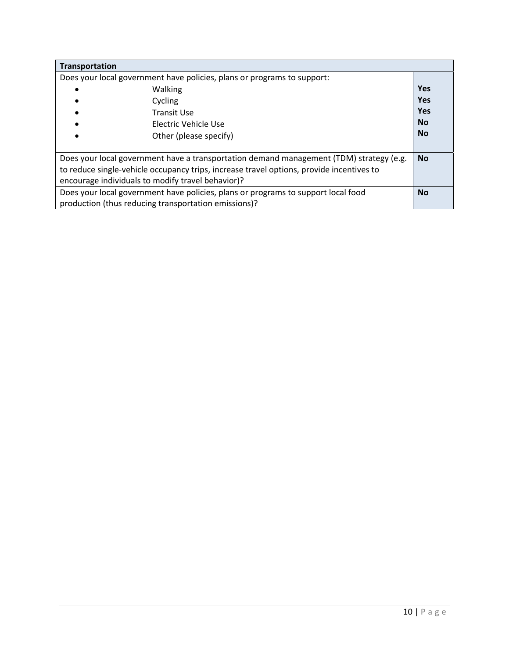| <b>Transportation</b>                                                                                |            |
|------------------------------------------------------------------------------------------------------|------------|
| Does your local government have policies, plans or programs to support:                              |            |
| Walking                                                                                              | <b>Yes</b> |
| Cycling                                                                                              | <b>Yes</b> |
| Transit Use                                                                                          | <b>Yes</b> |
| Electric Vehicle Use                                                                                 | <b>No</b>  |
| Other (please specify)                                                                               | <b>No</b>  |
|                                                                                                      |            |
| Does your local government have a transportation demand management (TDM) strategy (e.g.<br><b>No</b> |            |
| to reduce single-vehicle occupancy trips, increase travel options, provide incentives to             |            |
| encourage individuals to modify travel behavior)?                                                    |            |
| Does your local government have policies, plans or programs to support local food                    | <b>No</b>  |
| production (thus reducing transportation emissions)?                                                 |            |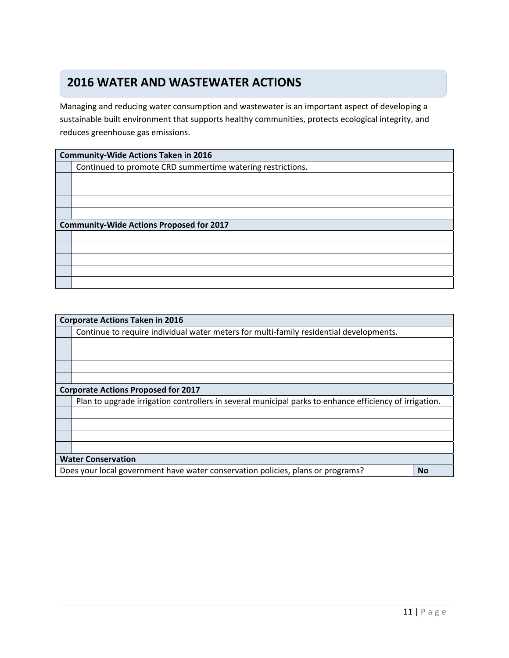#### **Water and Wastewater Actions 2016 WATER AND WASTEWATER ACTIONS**

Managing and reducing water consumption and wastewater is an important aspect of developing a sustainable built environment that supports healthy communities, protects ecological integrity, and reduces greenhouse gas emissions.

| <b>Community-Wide Actions Taken in 2016</b>                |  |  |
|------------------------------------------------------------|--|--|
| Continued to promote CRD summertime watering restrictions. |  |  |
|                                                            |  |  |
|                                                            |  |  |
|                                                            |  |  |
|                                                            |  |  |
| <b>Community-Wide Actions Proposed for 2017</b>            |  |  |
|                                                            |  |  |
|                                                            |  |  |
|                                                            |  |  |
|                                                            |  |  |
|                                                            |  |  |

| <b>Corporate Actions Taken in 2016</b>     |                                                                                                        |  |
|--------------------------------------------|--------------------------------------------------------------------------------------------------------|--|
|                                            | Continue to require individual water meters for multi-family residential developments.                 |  |
|                                            |                                                                                                        |  |
|                                            |                                                                                                        |  |
|                                            |                                                                                                        |  |
|                                            |                                                                                                        |  |
| <b>Corporate Actions Proposed for 2017</b> |                                                                                                        |  |
|                                            | Plan to upgrade irrigation controllers in several municipal parks to enhance efficiency of irrigation. |  |
|                                            |                                                                                                        |  |
|                                            |                                                                                                        |  |
|                                            |                                                                                                        |  |
|                                            |                                                                                                        |  |
| <b>Water Conservation</b>                  |                                                                                                        |  |
|                                            | Does your local government have water conservation policies, plans or programs?<br><b>No</b>           |  |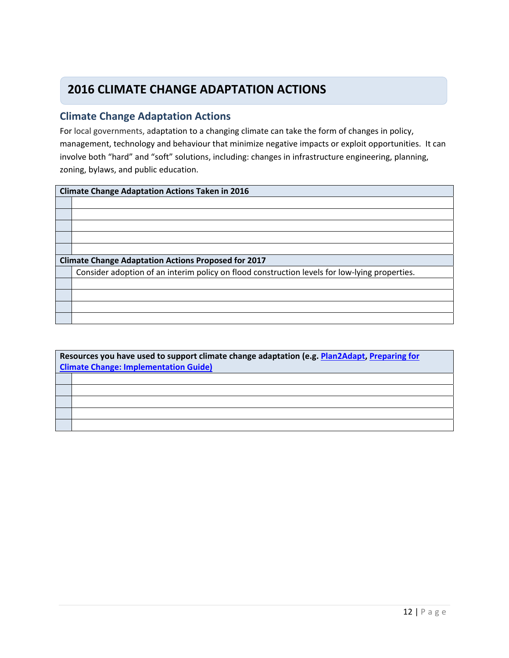## **2016 CLIMATE CHANGE ADAPTATION ACTIONS**

#### **Climate Change Adaptation Actions**

For local governments, adaptation to a changing climate can take the form of changes in policy, management, technology and behaviour that minimize negative impacts or exploit opportunities. It can involve both "hard" and "soft" solutions, including: changes in infrastructure engineering, planning, zoning, bylaws, and public education.

#### **Climate Change Adaptation Actions Taken in 2016**

| <b>Climate Change Adaptation Actions Proposed for 2017</b>                                    |  |  |
|-----------------------------------------------------------------------------------------------|--|--|
| Consider adoption of an interim policy on flood construction levels for low-lying properties. |  |  |
|                                                                                               |  |  |
|                                                                                               |  |  |
|                                                                                               |  |  |
|                                                                                               |  |  |

| Resources you have used to support climate change adaptation (e.g. Plan2Adapt, Preparing for<br><b>Climate Change: Implementation Guide)</b> |  |
|----------------------------------------------------------------------------------------------------------------------------------------------|--|
|                                                                                                                                              |  |
|                                                                                                                                              |  |
|                                                                                                                                              |  |
|                                                                                                                                              |  |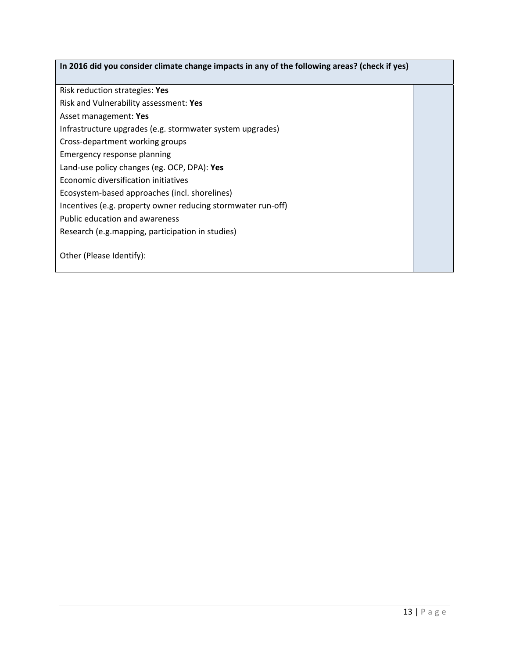#### **In 2016 did you consider climate change impacts in any of the following areas? (check if yes)**

Risk reduction strategies: **Yes**

Risk and Vulnerability assessment: **Yes**

Asset management: **Yes**

Infrastructure upgrades (e.g. stormwater system upgrades)

Cross‐department working groups

Emergency response planning

Land‐use policy changes (eg. OCP, DPA): **Yes**

Economic diversification initiatives

Ecosystem‐based approaches (incl. shorelines)

Incentives (e.g. property owner reducing stormwater run‐off)

Public education and awareness

Research (e.g.mapping, participation in studies)

Other (Please Identify):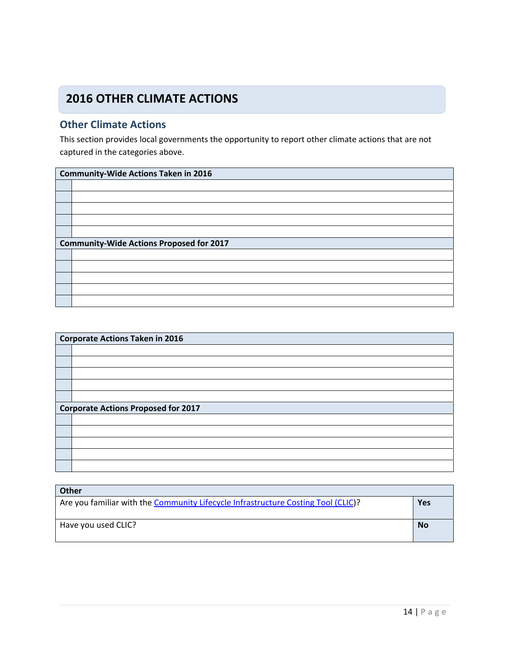## **2016 OTHER CLIMATE ACTIONS**

#### **Other Climate Actions**

This section provides local governments the opportunity to report other climate actions that are not captured in the categories above.

| <b>Community-Wide Actions Taken in 2016</b>     |  |  |
|-------------------------------------------------|--|--|
|                                                 |  |  |
|                                                 |  |  |
|                                                 |  |  |
|                                                 |  |  |
|                                                 |  |  |
| <b>Community-Wide Actions Proposed for 2017</b> |  |  |
|                                                 |  |  |
|                                                 |  |  |
|                                                 |  |  |
|                                                 |  |  |
|                                                 |  |  |

| <b>Corporate Actions Taken in 2016</b>     |  |  |
|--------------------------------------------|--|--|
|                                            |  |  |
|                                            |  |  |
|                                            |  |  |
|                                            |  |  |
|                                            |  |  |
| <b>Corporate Actions Proposed for 2017</b> |  |  |
|                                            |  |  |
|                                            |  |  |
|                                            |  |  |
|                                            |  |  |
|                                            |  |  |

| <b>Other</b>                                                                      |           |
|-----------------------------------------------------------------------------------|-----------|
| Are you familiar with the Community Lifecycle Infrastructure Costing Tool (CLIC)? | Yes       |
|                                                                                   |           |
| Have you used CLIC?                                                               | <b>No</b> |
|                                                                                   |           |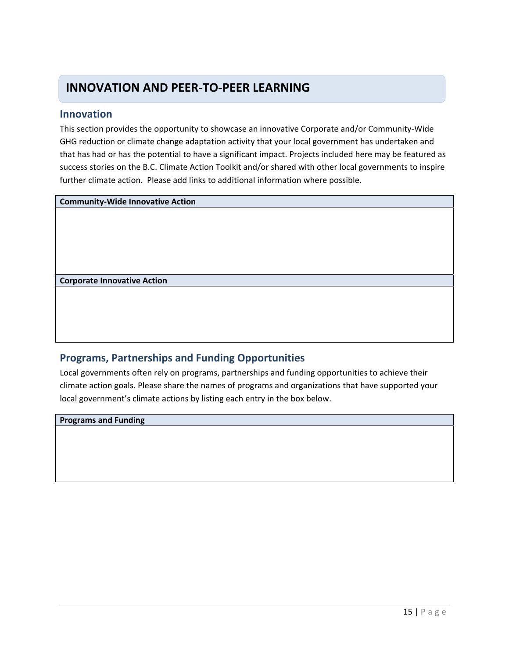### **INNOVATION AND PEER‐TO‐PEER LEARNING**

#### **Innovation**

This section provides the opportunity to showcase an innovative Corporate and/or Community‐Wide GHG reduction or climate change adaptation activity that your local government has undertaken and that has had or has the potential to have a significant impact. Projects included here may be featured as success stories on the B.C. Climate Action Toolkit and/or shared with other local governments to inspire further climate action. Please add links to additional information where possible.

**Community‐Wide Innovative Action**

**Corporate Innovative Action**

#### **Programs, Partnerships and Funding Opportunities**

Local governments often rely on programs, partnerships and funding opportunities to achieve their climate action goals. Please share the names of programs and organizations that have supported your local government's climate actions by listing each entry in the box below.

**Programs and Funding**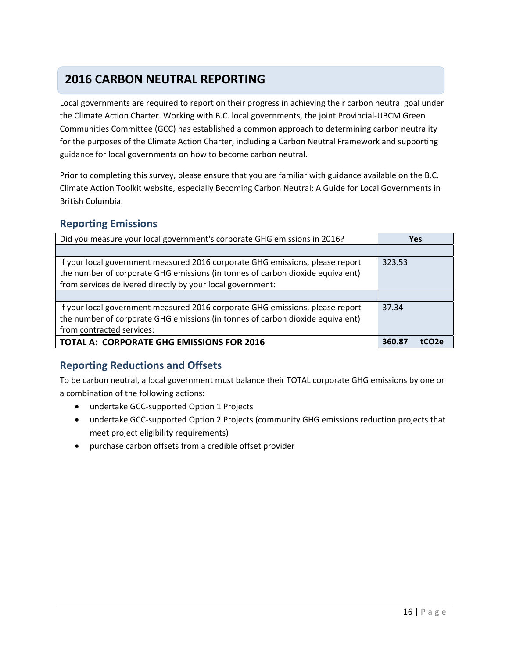## **2016 CARBON NEUTRAL REPORTING**

Local governments are required to report on their progress in achieving their carbon neutral goal under the Climate Action Charter. Working with B.C. local governments, the joint Provincial‐UBCM Green Communities Committee (GCC) has established a common approach to determining carbon neutrality for the purposes of the Climate Action Charter, including a Carbon Neutral Framework and supporting guidance for local governments on how to become carbon neutral.

Prior to completing this survey, please ensure that you are familiar with guidance available on the B.C. Climate Action Toolkit website, especially Becoming Carbon Neutral: A Guide for Local Governments in British Columbia.

#### **Reporting Emissions**

| Did you measure your local government's corporate GHG emissions in 2016?       | <b>Yes</b>      |
|--------------------------------------------------------------------------------|-----------------|
|                                                                                |                 |
| If your local government measured 2016 corporate GHG emissions, please report  | 323.53          |
| the number of corporate GHG emissions (in tonnes of carbon dioxide equivalent) |                 |
| from services delivered directly by your local government:                     |                 |
|                                                                                |                 |
| If your local government measured 2016 corporate GHG emissions, please report  | 37.34           |
| the number of corporate GHG emissions (in tonnes of carbon dioxide equivalent) |                 |
| from contracted services:                                                      |                 |
| <b>TOTAL A: CORPORATE GHG EMISSIONS FOR 2016</b>                               | 360.87<br>tCO2e |

#### **Reporting Reductions and Offsets**

To be carbon neutral, a local government must balance their TOTAL corporate GHG emissions by one or a combination of the following actions:

- undertake GCC-supported Option 1 Projects
- undertake GCC-supported Option 2 Projects (community GHG emissions reduction projects that meet project eligibility requirements)
- purchase carbon offsets from a credible offset provider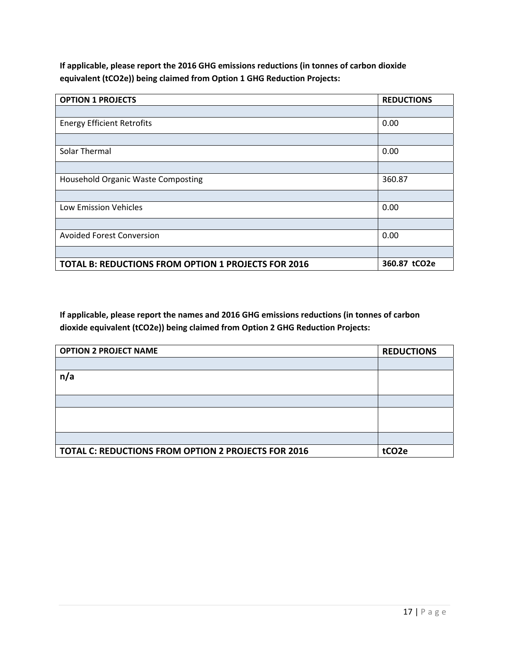**If applicable, please report the 2016 GHG emissions reductions (in tonnes of carbon dioxide equivalent (tCO2e)) being claimed from Option 1 GHG Reduction Projects:**

| <b>OPTION 1 PROJECTS</b>                                   | <b>REDUCTIONS</b> |
|------------------------------------------------------------|-------------------|
|                                                            |                   |
| <b>Energy Efficient Retrofits</b>                          | 0.00              |
|                                                            |                   |
| Solar Thermal                                              | 0.00              |
|                                                            |                   |
| Household Organic Waste Composting                         | 360.87            |
|                                                            |                   |
| Low Emission Vehicles                                      | 0.00              |
|                                                            |                   |
| <b>Avoided Forest Conversion</b>                           | 0.00              |
|                                                            |                   |
| <b>TOTAL B: REDUCTIONS FROM OPTION 1 PROJECTS FOR 2016</b> | 360.87 tCO2e      |

**If applicable, please report the names and 2016 GHG emissions reductions (in tonnes of carbon dioxide equivalent (tCO2e)) being claimed from Option 2 GHG Reduction Projects:**

| <b>OPTION 2 PROJECT NAME</b>                        | <b>REDUCTIONS</b> |  |
|-----------------------------------------------------|-------------------|--|
|                                                     |                   |  |
| n/a                                                 |                   |  |
|                                                     |                   |  |
|                                                     |                   |  |
|                                                     |                   |  |
|                                                     |                   |  |
|                                                     |                   |  |
| TOTAL C: REDUCTIONS FROM OPTION 2 PROJECTS FOR 2016 | tCO <sub>2e</sub> |  |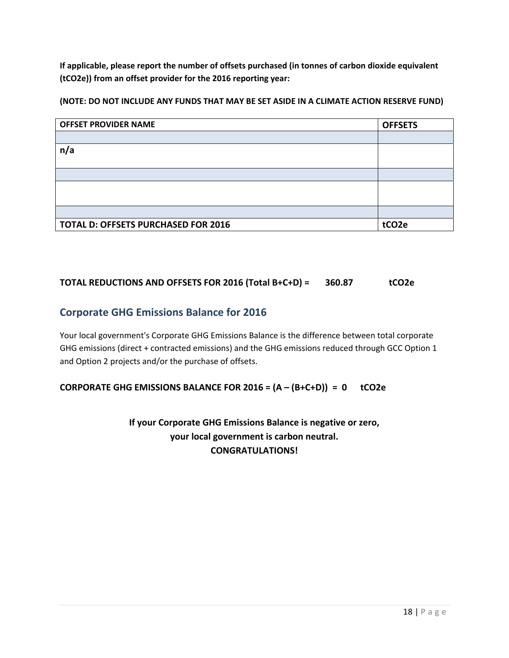**If applicable, please report the number of offsets purchased (in tonnes of carbon dioxide equivalent (tCO2e)) from an offset provider for the 2016 reporting year:**

**(NOTE: DO NOT INCLUDE ANY FUNDS THAT MAY BE SET ASIDE IN A CLIMATE ACTION RESERVE FUND)**

| <b>OFFSET PROVIDER NAME</b>                | <b>OFFSETS</b>    |
|--------------------------------------------|-------------------|
|                                            |                   |
| n/a                                        |                   |
|                                            |                   |
|                                            |                   |
|                                            |                   |
|                                            |                   |
|                                            |                   |
| <b>TOTAL D: OFFSETS PURCHASED FOR 2016</b> | tCO <sub>2e</sub> |

#### **TOTAL REDUCTIONS AND OFFSETS FOR 2016 (Total B+C+D) = 360.87 tCO2e**

#### **Corporate GHG Emissions Balance for 2016**

Your local government's Corporate GHG Emissions Balance is the difference between total corporate GHG emissions (direct + contracted emissions) and the GHG emissions reduced through GCC Option 1 and Option 2 projects and/or the purchase of offsets.

#### **CORPORATE GHG EMISSIONS BALANCE FOR 2016 = (A – (B+C+D)) = 0 tCO2e**

**If your Corporate GHG Emissions Balance is negative or zero, your local government is carbon neutral. CONGRATULATIONS!**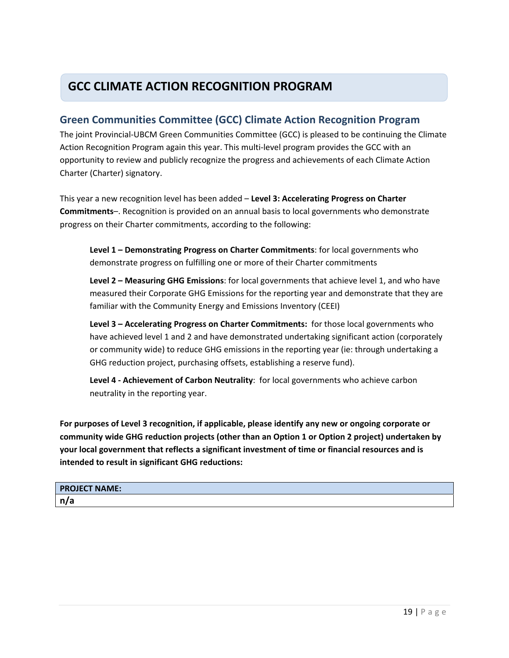## **GCC CLIMATE ACTION RECOGNITION PROGRAM**

#### **Green Communities Committee (GCC) Climate Action Recognition Program**

The joint Provincial‐UBCM Green Communities Committee (GCC) is pleased to be continuing the Climate Action Recognition Program again this year. This multi‐level program provides the GCC with an opportunity to review and publicly recognize the progress and achievements of each Climate Action Charter (Charter) signatory.

This year a new recognition level has been added – **Level 3: Accelerating Progress on Charter Commitments**–. Recognition is provided on an annual basis to local governments who demonstrate progress on their Charter commitments, according to the following:

**Level 1 – Demonstrating Progress on Charter Commitments**: for local governments who demonstrate progress on fulfilling one or more of their Charter commitments

**Level 2 – Measuring GHG Emissions**: for local governments that achieve level 1, and who have measured their Corporate GHG Emissions for the reporting year and demonstrate that they are familiar with the Community Energy and Emissions Inventory (CEEI)

**Level 3 – Accelerating Progress on Charter Commitments:** for those local governments who have achieved level 1 and 2 and have demonstrated undertaking significant action (corporately or community wide) to reduce GHG emissions in the reporting year (ie: through undertaking a GHG reduction project, purchasing offsets, establishing a reserve fund).

**Level 4 ‐ Achievement of Carbon Neutrality**: for local governments who achieve carbon neutrality in the reporting year.

**For purposes of Level 3 recognition, if applicable, please identify any new or ongoing corporate or community wide GHG reduction projects (other than an Option 1 or Option 2 project) undertaken by your local government that reflects a significant investment of time or financial resources and is intended to result in significant GHG reductions:**

| <b>PROJECT NAME:</b> |  |
|----------------------|--|
| n/a                  |  |